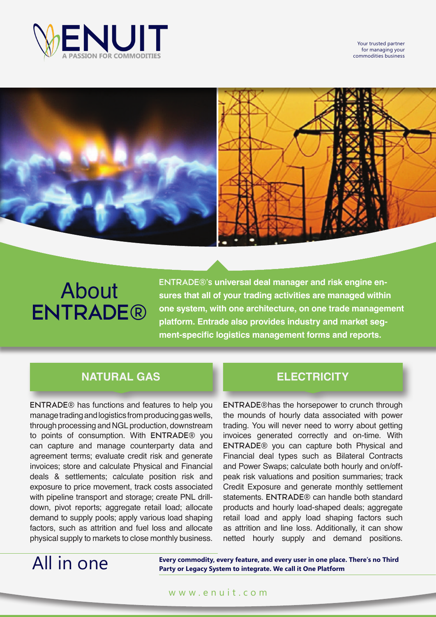

Your trusted partner for managing your commodities business



# About **ENTRADE®**

**ENTRADE®'s universal deal manager and risk engine ensures that all of your trading activities are managed within one system, with one architecture, on one trade management platform. Entrade also provides industry and market segment-specific logistics management forms and reports.**

## **NATURAL GAS ELECTRICITY**

**ENTRADE®** has functions and features to help you manage trading and logistics from producing gas wells, through processing and NGL production, downstream to points of consumption. With **ENTRADE®** you can capture and manage counterparty data and agreement terms; evaluate credit risk and generate invoices; store and calculate Physical and Financial deals & settlements; calculate position risk and exposure to price movement, track costs associated with pipeline transport and storage; create PNL drilldown, pivot reports; aggregate retail load; allocate demand to supply pools; apply various load shaping factors, such as attrition and fuel loss and allocate physical supply to markets to close monthly business.

**ENTRADE®**has the horsepower to crunch through the mounds of hourly data associated with power trading. You will never need to worry about getting invoices generated correctly and on-time. With **ENTRADE®** you can capture both Physical and Financial deal types such as Bilateral Contracts and Power Swaps; calculate both hourly and on/offpeak risk valuations and position summaries; track Credit Exposure and generate monthly settlement statements. **ENTRADE®** can handle both standard products and hourly load-shaped deals; aggregate retail load and apply load shaping factors such as attrition and line loss. Additionally, it can show netted hourly supply and demand positions.

## All in one

**Every commodity, every feature, and every user in one place. There's no Third Party or Legacy System to integrate. We call it One Platform**

### www.enuit.com